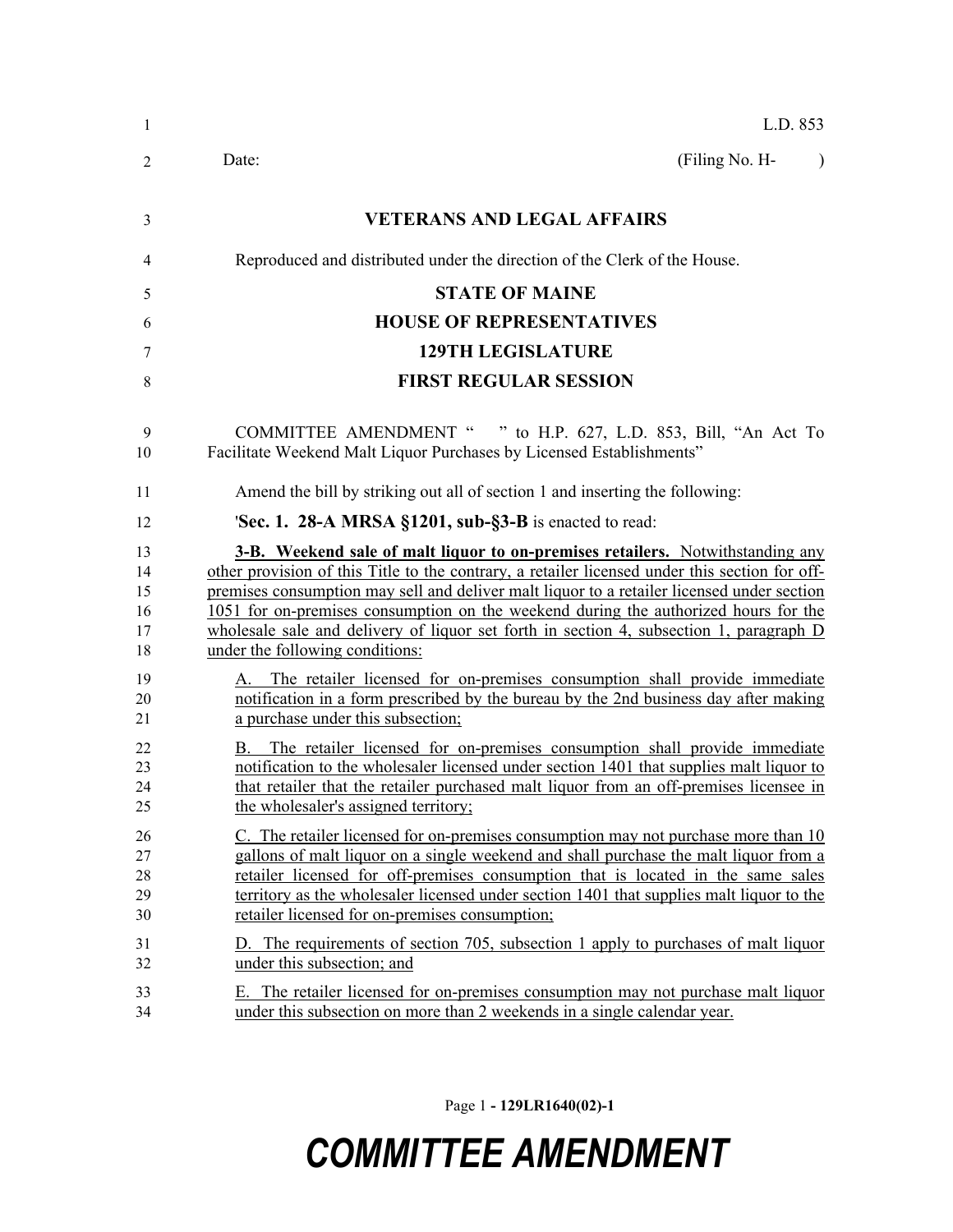| 1                                | L.D. 853                                                                                                                                                                                                                                                                                                                                                                                                                                                                                                   |
|----------------------------------|------------------------------------------------------------------------------------------------------------------------------------------------------------------------------------------------------------------------------------------------------------------------------------------------------------------------------------------------------------------------------------------------------------------------------------------------------------------------------------------------------------|
| 2                                | (Filing No. H-<br>Date:<br>$\lambda$                                                                                                                                                                                                                                                                                                                                                                                                                                                                       |
| 3                                | <b>VETERANS AND LEGAL AFFAIRS</b>                                                                                                                                                                                                                                                                                                                                                                                                                                                                          |
| 4                                | Reproduced and distributed under the direction of the Clerk of the House.                                                                                                                                                                                                                                                                                                                                                                                                                                  |
| 5                                | <b>STATE OF MAINE</b>                                                                                                                                                                                                                                                                                                                                                                                                                                                                                      |
| 6                                | <b>HOUSE OF REPRESENTATIVES</b>                                                                                                                                                                                                                                                                                                                                                                                                                                                                            |
| 7                                | <b>129TH LEGISLATURE</b>                                                                                                                                                                                                                                                                                                                                                                                                                                                                                   |
| 8                                | <b>FIRST REGULAR SESSION</b>                                                                                                                                                                                                                                                                                                                                                                                                                                                                               |
| 9<br>10                          | <b>COMMITTEE AMENDMENT "</b><br>" to H.P. 627, L.D. 853, Bill, "An Act To<br>Facilitate Weekend Malt Liquor Purchases by Licensed Establishments"                                                                                                                                                                                                                                                                                                                                                          |
| 11                               | Amend the bill by striking out all of section 1 and inserting the following:                                                                                                                                                                                                                                                                                                                                                                                                                               |
| 12                               | <b>Sec. 1. 28-A MRSA §1201, sub-§3-B</b> is enacted to read:                                                                                                                                                                                                                                                                                                                                                                                                                                               |
| 13<br>14<br>15<br>16<br>17<br>18 | <b>3-B.</b> Weekend sale of malt liquor to on-premises retailers. Notwithstanding any<br>other provision of this Title to the contrary, a retailer licensed under this section for off-<br>premises consumption may sell and deliver malt liquor to a retailer licensed under section<br>1051 for on-premises consumption on the weekend during the authorized hours for the<br>wholesale sale and delivery of liquor set forth in section 4, subsection 1, paragraph D<br>under the following conditions: |
| 19<br>20<br>21                   | A. The retailer licensed for on-premises consumption shall provide immediate<br>notification in a form prescribed by the bureau by the 2nd business day after making<br>a purchase under this subsection;                                                                                                                                                                                                                                                                                                  |
| 22<br>23<br>24<br>25             | B. The retailer licensed for on-premises consumption shall provide immediate<br>notification to the wholesaler licensed under section 1401 that supplies malt liquor to<br>that retailer that the retailer purchased malt liquor from an off-premises licensee in<br>the wholesaler's assigned territory;                                                                                                                                                                                                  |
| 26<br>27<br>28<br>29<br>30       | C. The retailer licensed for on-premises consumption may not purchase more than 10<br>gallons of malt liquor on a single weekend and shall purchase the malt liquor from a<br>retailer licensed for off-premises consumption that is located in the same sales<br>territory as the wholesaler licensed under section 1401 that supplies malt liquor to the<br>retailer licensed for on-premises consumption;                                                                                               |
| 31<br>32                         | D. The requirements of section 705, subsection 1 apply to purchases of malt liquor<br>under this subsection; and                                                                                                                                                                                                                                                                                                                                                                                           |
| 33<br>34                         | E. The retailer licensed for on-premises consumption may not purchase malt liquor<br>under this subsection on more than 2 weekends in a single calendar year.                                                                                                                                                                                                                                                                                                                                              |

Page 1 **- 129LR1640(02)-1**

## *COMMITTEE AMENDMENT*